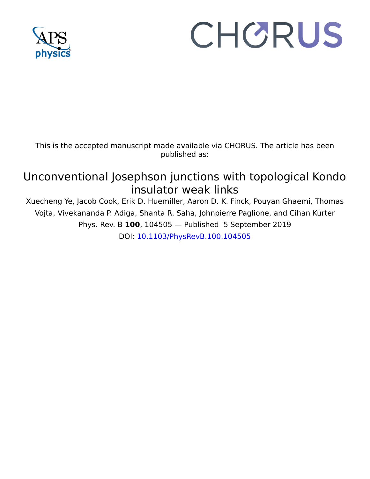

## CHORUS

This is the accepted manuscript made available via CHORUS. The article has been published as:

## Unconventional Josephson junctions with topological Kondo insulator weak links

Xuecheng Ye, Jacob Cook, Erik D. Huemiller, Aaron D. K. Finck, Pouyan Ghaemi, Thomas Vojta, Vivekananda P. Adiga, Shanta R. Saha, Johnpierre Paglione, and Cihan Kurter Phys. Rev. B **100**, 104505 — Published 5 September 2019 DOI: [10.1103/PhysRevB.100.104505](http://dx.doi.org/10.1103/PhysRevB.100.104505)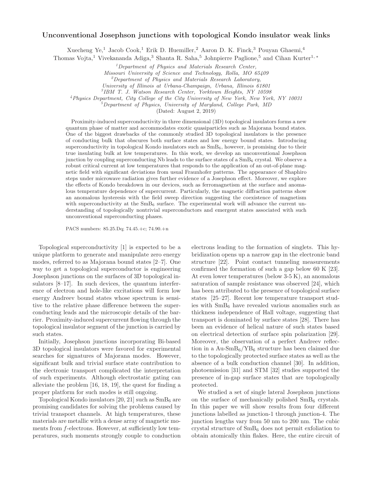## Unconventional Josephson junctions with topological Kondo insulator weak links

Xuecheng Ye,<sup>1</sup> Jacob Cook,<sup>1</sup> Erik D. Huemiller,<sup>2</sup> Aaron D. K. Finck,<sup>3</sup> Pouyan Ghaemi,<sup>4</sup>

Thomas Vojta,<sup>1</sup> Vivekananda Adiga,<sup>3</sup> Shanta R. Saha,<sup>5</sup> Johnpierre Paglione,<sup>5</sup> and Cihan Kurter<sup>1,</sup> \*

<sup>1</sup>Department of Physics and Materials Research Center,

Missouri University of Science and Technology, Rolla, MO 65409

 ${}^{2}$ Department of Physics and Materials Research Laboratory,

University of Illinois at Urbana-Champaign, Urbana, Illinois 61801

3 IBM T. J. Watson Research Center, Yorktown Heights, NY 10598

<sup>4</sup>Physics Department, City College of the City University of New York, New York, NY 10031

 ${}^{5}$ Department of Physics, University of Maryland, College Park, MD

(Dated: August 2, 2019)

Proximity-induced superconductivity in three dimensional (3D) topological insulators forms a new quantum phase of matter and accommodates exotic quasiparticles such as Majorana bound states. One of the biggest drawbacks of the commonly studied 3D topological insulators is the presence of conducting bulk that obscures both surface states and low energy bound states. Introducing superconductivity in topological Kondo insulators such as  $SmB<sub>6</sub>$ , however, is promising due to their true insulating bulk at low temperatures. In this work, we develop an unconventional Josephson junction by coupling superconducting Nb leads to the surface states of a  $SmB<sub>6</sub>$  crystal. We observe a robust critical current at low temperatures that responds to the application of an out-of-plane magnetic field with significant deviations from usual Fraunhofer patterns. The appearance of Shaphiro steps under microwave radiation gives further evidence of a Josephson effect. Moreover, we explore the effects of Kondo breakdown in our devices, such as ferromagnetism at the surface and anomalous temperature dependence of supercurrent. Particularly, the magnetic diffraction patterns show an anomalous hysteresis with the field sweep direction suggesting the coexistence of magnetism with superconductivity at the  $\rm SmB_6$  surface. The experimental work will advance the current understanding of topologically nontrivial superconductors and emergent states associated with such unconventional superconducting phases.

PACS numbers: 85.25.Dq; 74.45.+c; 74.90.+n

Topological superconductivity [1] is expected to be a unique platform to generate and manipulate zero energy modes, referred to as Majorana bound states [2–7]. One way to get a topological superconductor is engineering Josephson junctions on the surfaces of 3D topological insulators [8–17]. In such devices, the quantum interference of electron and hole-like excitations will form low energy Andreev bound states whose spectrum is sensitive to the relative phase difference between the superconducting leads and the microscopic details of the barrier. Proximity-induced supercurrent flowing through the topological insulator segment of the junction is carried by such states.

Initially, Josephson junctions incorporating Bi-based 3D topological insulators were favored for experimental searches for signatures of Majorana modes. However, significant bulk and trivial surface state contribution to the electronic transport complicated the interpretation of such experiments. Although electrostatic gating can alleviate the problem [16, 18, 19], the quest for finding a proper platform for such modes is still ongoing.

Topological Kondo insulators [20, 21] such as  $SmB<sub>6</sub>$  are promising candidates for solving the problems caused by trivial transport channels. At high temperatures, these materials are metallic with a dense array of magnetic moments from f-electrons. However, at sufficiently low temperatures, such moments strongly couple to conduction

electrons leading to the formation of singlets. This hybridization opens up a narrow gap in the electronic band structure [22]. Point contact tunneling measurements confirmed the formation of such a gap below 60 K [23]. At even lower temperatures (below 3-5 K), an anomalous saturation of sample resistance was observed [24], which has been attributed to the presence of topological surface states [25–27]. Recent low temperature transport studies with SmB<sup>6</sup> have revealed various anomalies such as thickness independence of Hall voltage, suggesting that transport is dominated by surface states [28]. There has been an evidence of helical nature of such states based on electrical detection of surface spin polarization [29]. Moreover, the observation of a perfect Andreev reflection in a Au-SmB6/YB<sup>6</sup> structure has been claimed due to the topologically protected surface states as well as the absence of a bulk conduction channel [30]. In addition, photoemission [31] and STM [32] studies supported the presence of in-gap surface states that are topologically protected.

We studied a set of single lateral Josephson junctions on the surface of mechanically polished  $SmB<sub>6</sub>$  crystals. In this paper we will show results from four different junctions labelled as junction-1 through junction-4. The junction lengths vary from 50 nm to 200 nm. The cubic crystal structure of SmB<sup>6</sup> does not permit exfoliation to obtain atomically thin flakes. Here, the entire circuit of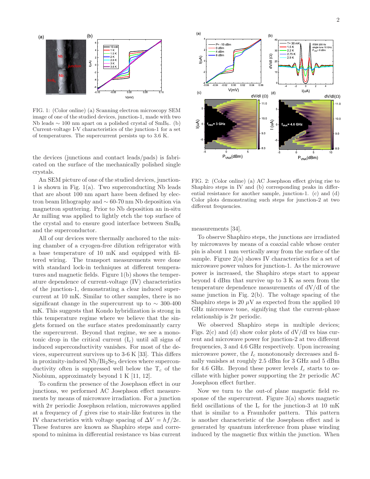

FIG. 1: (Color online) (a) Scanning electron microscopy SEM image of one of the studied devices, junction-1, made with two Nb leads  $\sim 100$  nm apart on a polished crystal of SmB<sub>6</sub>. (b) Current-voltage I-V characteristics of the junction-1 for a set of temperatures. The supercurrent persists up to 3.6 K.

the devices (junctions and contact leads/pads) is fabricated on the surface of the mechanically polished single crystals.

An SEM picture of one of the studied devices, junction-1 is shown in Fig.  $1(a)$ . Two superconducting Nb leads that are about 100 nm apart have been defined by electron beam lithography and ∼ 60-70 nm Nb deposition via magnetron sputtering. Prior to Nb deposition an in-situ Ar milling was applied to lightly etch the top surface of the crystal and to ensure good interface between  $SmB<sub>6</sub>$ and the superconductor.

All of our devices were thermally anchored to the mixing chamber of a cryogen-free dilution refrigerator with a base temperature of 10 mK and equipped with filtered wiring. The transport measurements were done with standard lock-in techniques at different temperatures and magnetic fields. Figure 1(b) shows the temperature dependence of current-voltage (IV) characteristics of the junction-1, demonstrating a clear induced supercurrent at 10 mK. Similar to other samples, there is no significant change in the supercurrent up to  $\sim$  300-400 mK. This suggests that Kondo hybridization is strong in this temperature regime where we believe that the singlets formed on the surface states predominantly carry the supercurrent. Beyond that regime, we see a monotonic drop in the critical current  $(I_c)$  until all signs of induced superconductivity vanishes. For most of the devices, supercurrent survives up to 3-6 K [33]. This differs in proximity-induced  $Nb/Bi<sub>2</sub>Se<sub>3</sub>$  devices where superconductivity often is suppressed well below the  $T_c$  of the Niobium, approximately beyond 1 K [11, 12].

To confirm the presence of the Josephson effect in our junctions, we performed AC Josephson effect measurements by means of microwave irradiation. For a junction with  $2\pi$  periodic Josephson relation, microwaves applied at a frequency of  $f$  gives rise to stair-like features in the IV characteristics with voltage spacing of  $\Delta V = hf/2e$ . These features are known as Shaphiro steps and correspond to minima in differential resistance vs bias current



FIG. 2: (Color online) (a) AC Josephson effect giving rise to Shaphiro steps in IV and (b) corresponding peaks in differential resistance for another sample, junction-1. (c) and (d) Color plots demonstrating such steps for junction-2 at two different frequencies.

measurements [34].

To observe Shaphiro steps, the junctions are irradiated by microwaves by means of a coaxial cable whose center pin is about 1 mm vertically away from the surface of the sample. Figure  $2(a)$  shows IV characteristics for a set of microwave power values for junction-1. As the microwave power is increased, the Shaphiro steps start to appear beyond 4 dBm that survive up to 3 K as seen from the temperature dependence measurements of dV/dI of the same junction in Fig. 2(b). The voltage spacing of the Shaphiro steps is 20  $\mu$ V as expected from the applied 10 GHz microwave tone, signifying that the current-phase relationship is  $2\pi$  periodic.

We observed Shaphiro steps in multiple devices; Figs.  $2(c)$  and (d) show color plots of  $dV/dI$  vs bias current and microwave power for junction-2 at two different frequencies, 3 and 4.6 GHz respectively. Upon increasing microwave power, the  $I_c$  monotonously decreases and finally vanishes at roughly 2.5 dBm for 3 GHz and 5 dBm for 4.6 GHz. Beyond these power levels  $I_c$  starts to oscillate with higher power supporting the  $2\pi$  periodic AC Josephson effect further.

Now we turn to the out-of plane magnetic field response of the supercurrent. Figure  $3(a)$  shows magnetic field oscillations of the  $I_c$  for the junction-3 at 10 mK that is similar to a Fraunhofer pattern. This pattern is another characteristic of the Josephson effect and is generated by quantum interference from phase winding induced by the magnetic flux within the junction. When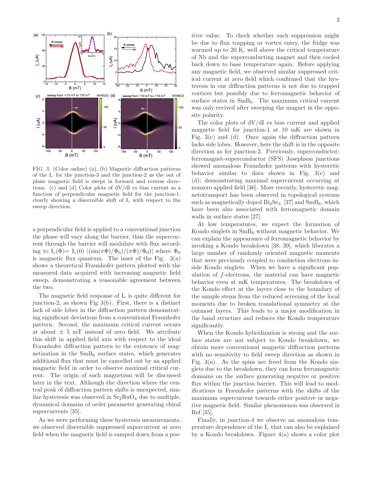

FIG. 3: (Color online) (a), (b) Magnetic diffraction patterns of the  $I_c$  for the junction-3 and the junction-2 as the out of plane magnetic field is swept in forward and reverse directions. (c) and (d) Color plots of dV/dI vs bias current as a function of perpendicular magnetic field for the junction-1, clearly showing a discernible shift of  $I_c$  with respect to the sweep direction.

a perpendicular field is applied to a conventional junction the phase will vary along the barrier, thus the supercurrent through the barrier will modulate with flux according to  $I_c(\Phi) = I_c(0)$   $|\frac{\sin(\pi \Phi)}{\Phi_0}|(\pi \Phi) / \Phi_0|$  where  $\Phi_0$ is magnetic flux quantum. The inset of the Fig.  $3(a)$ shows a theoretical Fraunhofer pattern plotted with the measured data acquired with increasing magnetic field sweep, demonstrating a reasonable agreement between the two.

The magnetic field response of  $I_c$  is quite different for junction-2, as shown Fig 3(b). First, there is a distinct lack of side lobes in the diffraction pattern demonstrating significant deviations from a conventional Fraunhofer pattern. Second, the maximum critical current occurs at about  $\pm$  5 mT instead of zero field. We attribute this shift in applied field axis with respect to the ideal Fraunhofer diffraction pattern to the existence of magnetization in the  $SmB_6$  surface states, which generates additional flux that must be cancelled out by an applied magnetic field in order to observe maximal critical current. The origin of such magnetism will be discussed later in the text. Although the direction where the central peak of diffraction pattern shifts is unexpected, similar hysteresis was observed in  $Sr<sub>2</sub>RuO<sub>4</sub>$  due to multiple, dynamical domains of order parameter generating chiral supercurrents [35].

As we were performing these hysteresis measurements, we observed discernible suppressed supercurrent at zero field when the magnetic field is ramped down from a positive value. To check whether such suppression might be due to flux trapping or vortex entry, the fridge was warmed up to 20 K, well above the critical temperature of Nb and the superconducting magnet and then cooled back down to base temperature again. Before applying any magnetic field, we observed similar suppressed critical current at zero field which confirmed that the hysteresis in our diffraction patterns is not due to trapped vortices but possibly due to ferromagnetic behavior of surface states in  $SmB_6$ . The maximum critical current was only revived after sweeping the magnet in the opposite polarity.

The color plots of dV/dI vs bias current and applied magnetic field for junction-1 at 10 mK are shown in Fig. 3(c) and (d). Once again the diffraction pattern lacks side lobes. However, here the shift is in the opposite direction as for junction-2. Previously, superconductorferromagnet-superconductor (SFS) Josephson junctions showed anomalous Fraunhofer patterns with hysteretic behavior similar to data shown in Fig. 3(c) and (d); demonstrating maximal supercurrent occurring at nonzero applied field [36]. More recently, hysteretic magnetotransport has been observed in topological systems such as magnetically doped  $Bi<sub>2</sub>Se<sub>3</sub>$  [37] and  $SmB<sub>6</sub>$ , which have been also associated with ferromagnetic domain walls in surface states [27].

At low temperatures, we expect the formation of Kondo singlets in  $SmB<sub>6</sub>$  without magnetic behavior. We can explain the appearance of ferromagnetic behavior by invoking a Kondo breakdown [38, 39], which liberates a large number of randomly oriented magnetic moments that were previously coupled to conduction electrons inside Kondo singlets. When we have a significant population of f-electrons, the material can have magnetic behavior even at mK temperatures. The breakdown of the Kondo effect at the layers close to the boundary of the sample stems from the reduced screening of the local moments due to broken translational symmetry at the outmost layers. This leads to a major modification in the band structure and reduces the Kondo temperature significantly.

When the Kondo hybridization is strong and the surface states are not subject to Kondo breakdown, we obtain more conventional magnetic diffraction patterns with no sensitivity to field sweep direction as shown in Fig.  $3(a)$ . As the spins are freed from the Kondo singlets due to the breakdown, they can form ferromagnetic domains on the surface generating negative or positive flux within the junction barrier. This will lead to modifications in Fraunhofer patterns with the shifts of the maximum supercurrent towards either positive or negative magnetic field. Similar phenomenon was observed in Ref [35].

Finally, in junction-4 we observe an anomalous temperature dependence of the  $I_c$  that can also be explained by a Kondo breakdown. Figure 4(a) shows a color plot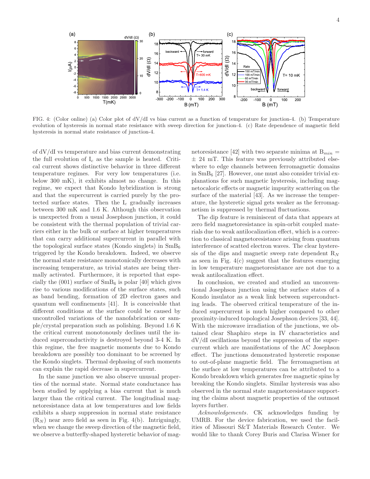

FIG. 4: (Color online) (a) Color plot of dV/dI vs bias current as a function of temperature for junction-4. (b) Temperature evolution of hysteresis in normal state resistance with sweep direction for junction-4. (c) Rate dependence of magnetic field hysteresis in normal state resistance of junction-4.

of dV/dI vs temperature and bias current demonstrating the full evolution of  $I_c$  as the sample is heated. Critical current shows distinctive behavior in three different temperature regimes. For very low temperatures (i.e. below 300 mK), it exhibits almost no change. In this regime, we expect that Kondo hybridization is strong and that the supercurrent is carried purely by the protected surface states. Then the  $I_c$  gradually increases between 300 mK and 1.6 K. Although this observation is unexpected from a usual Josephson junction, it could be consistent with the thermal population of trivial carriers either in the bulk or surface at higher temperatures that can carry additional supercurrent in parallel with the topological surface states (Kondo singlets) in  $SmB<sub>6</sub>$ triggered by the Kondo breakdown. Indeed, we observe the normal state resistance monotonically decreases with increasing temperature, as trivial states are being thermally activated. Furthermore, it is reported that especially the  $(001)$  surface of  $SmB<sub>6</sub>$  is polar [40] which gives rise to various modifications of the surface states, such as band bending, formation of 2D electron gases and quantum well confinements [41]. It is conceivable that different conditions at the surface could be caused by uncontrolled variations of the nanofabrication or sample/crystal preparation such as polishing. Beyond 1.6 K the critical current monotonously declines until the induced superconductivity is destroyed beyond 3-4 K. In this regime, the free magnetic moments due to Kondo breakdown are possibly too dominant to be screened by the Kondo singlets. Thermal dephasing of such moments can explain the rapid decrease in supercurrent.

In the same junction we also observe unusual properties of the normal state. Normal state conductance has been studied by applying a bias current that is much larger than the critical current. The longitudinal magnetoresistance data at low temperatures and low fields exhibits a sharp suppression in normal state resistance  $(R_N)$  near zero field as seen in Fig. 4(b). Intriguingly, when we change the sweep direction of the magnetic field, we observe a butterfly-shaped hysteretic behavior of mag-

netoresistance [42] with two separate minima at  $B_{min}$  =  $\pm$  24 mT. This feature was previously attributed elsewhere to edge channels between ferromagnetic domains in  $SmB<sub>6</sub>$  [27]. However, one must also consider trivial explanations for such magnetic hysteresis, including magnetocaloric effects or magnetic impurity scattering on the surface of the material [43]. As we increase the temperature, the hysteretic signal gets weaker as the ferromagnetism is suppressed by thermal fluctuations.

The dip feature is reminiscent of data that appears at zero field magnetoresistance in spin-orbit coupled materials due to weak antilocalization effect, which is a correction to classical magnetoresistance arising from quantum interference of scatted electron waves. The clear hysteresis of the dips and magnetic sweep rate dependent  $R_N$ as seen in Fig.  $4(c)$  suggest that the features emerging in low temperature magnetoresistance are not due to a weak antilocalization effect.

In conclusion, we created and studied an unconventional Josephson junction using the surface states of a Kondo insulator as a weak link between superconducting leads. The observed critical temperature of the induced supercurrent is much higher compared to other proximity-induced topological Josephson devices [33, 44]. With the microwave irradiation of the junctions, we obtained clear Shaphiro steps in IV characteristics and dV/dI oscillations beyond the suppression of the supercurrent which are manifestations of the AC Josephson effect. The junctions demonstrated hysteretic response to out-of-plane magnetic field. The ferromagnetism at the surface at low temperatures can be attributed to a Kondo breakdown which generates free magnetic spins by breaking the Kondo singlets. Similar hysteresis was also observed in the normal state magnetoresistance supporting the claims about magnetic properties of the outmost layers further.

Acknowledgements. CK acknowledges funding by UMRB. For the device fabrication, we used the facilities of Missouri S&T Materials Research Center. We would like to thank Corey Buris and Clarisa Wisner for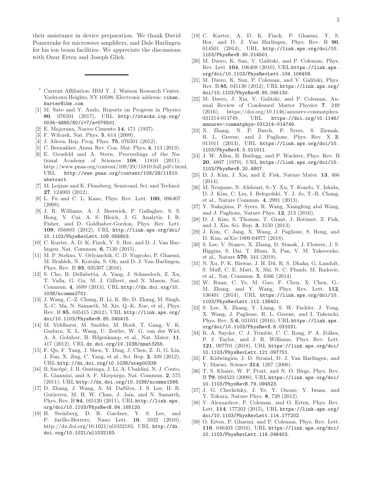their assistance in device preparation. We thank David Pomerenke for microwave amplifiers, and Dale Harlingen for his ion beam facilities. We appreciate the discussions with Onur Erten and Joseph Glick.

- Current Affiliation: IBM T. J. Watson Research Center, Yorktown Heights, NY 10598; Electronic address: cihan. kurter@ibm.com
- [1] M. Sato and Y. Ando, Reports on Progress in Physics 80, 076501 (2017), URL http://stacks.iop.org/ 0034-4885/80/i=7/a=076501.
- [2] E. Majorana, Nuovo Cimento 14, 171 (1937).
- [3] F. Wilczek, Nat. Phys. 5, 614 (2009).
- [4] J. Alicea, Rep. Prog. Phys. 75, 076501 (2012).
- [5] C. Beenakker, Annu. Rev. Con. Mat. Phys. 4, 113 (2013).
- [6] E. Grosfeld and A. Stern, Proceedings of the National Academy of Sciences 108, 11810 (2011), http://www.pnas.org/content/108/29/11810.full.pdf+html, URL http://www.pnas.org/content/108/29/11810. abstract.
- [7] M. Leijnse and K. Flensberg, Semicond. Sci. and Technol. 27, 124003 (2012).
- [8] L. Fu and C. L. Kane, Phys. Rev. Lett. 100, 096407  $(2008)$
- [9] J. R. Williams, A. J. Bestwick, P. Gallagher, S. S. Hong, Y. Cui, A. S. Bleich, J. G. Analytis, I. R. Fisher, and D. Goldhaber-Gordon, Phys. Rev. Lett. 109, 056803 (2012), URL http://link.aps.org/doi/ 10.1103/PhysRevLett.109.056803.
- [10] C. Kurter, A. D. K. Finck, Y. S. Hor, and D. J. Van Harlingen, Nat. Commun. 6, 7130 (2015).
- [11] M. P. Stehno, V. Orlyanchik, C. D. Nugroho, P. Ghaemi, M. Brahlek, N. Koirala, S. Oh, and D. J. Van Harlingen, Phys. Rev. B 93, 035307 (2016).
- [12] S. Cho, B. Dellabetta, A. Yang, J. Schneeloch, Z. Xu, T. Valla, G. Gu, M. J. Gilbert, and N. Mason, Nat. Commun. 4, 1689 (2013), URL http://dx.doi.org/10. 1038/ncomms2701.
- [13] J. Wang, C.-Z. Chang, H. Li, K. He, D. Zhang, M. Singh, X.-C. Ma, N. Samarth, M. Xie, Q.-K. Xue, et al., Phys. Rev. B 85, 045415 (2012), URL http://link.aps.org/ doi/10.1103/PhysRevB.85.045415.
- [14] M. Veldhorst, M. Snelder, M. Hoek, T. Gang, V. K. Guduru, X. L. Wang, U. Zeitler, W. G. van der Wiel, A. A. Golubov, H. Hilgenkamp, et al., Nat. Mater. 11, 417 (2012), URL dx.doi.org/10.1038/nmat3255.
- [15] F. Qu, F. Yang, J. Shen, Y. Ding, J. Chen, Z. Ji, G. Liu, J. Fan, X. Jing, C. Yang, et al., Sci. Rep. 2, 339 (2012), URL http://dx.doi.org/10.1038/srep00339.
- [16] B. Sacépé, J. B. Oostinga, J. Li, A. Ubaldini, N. J. Couto, E. Giannini, and A. F. Morpurgo, Nat. Commun. 2, 575 (2011), URL http://dx.doi.org/10.1038/ncomms1586.
- [17] D. Zhang, J. Wang, A. M. DaSilva, J. S. Lee, H. R. Gutierrez, M. H. W. Chan, J. Jain, and N. Samarth, Phys. Rev. B 84, 165120 (2011), URL http://link.aps. org/doi/10.1103/PhysRevB.84.165120.
- [18] H. Steinberg, D. R. Gardner, Y. S. Lee, and P. Jarillo-Herrero, Nano Lett. 10, 5032 (2010), http://dx.doi.org/10.1021/nl1032183, URL http://dx. doi.org/10.1021/nl1032183.
- [19] C. Kurter, A. D. K. Finck, P. Ghaemi, Y. S. Hor, and D. J. Van Harlingen, Phys. Rev. B 90, 014501 (2014), URL http://link.aps.org/doi/10. 1103/PhysRevB.90.014501.
- [20] M. Dzero, K. Sun, V. Galitski, and P. Coleman, Phys. Rev. Lett. 104, 106408 (2010), URL https://link.aps. org/doi/10.1103/PhysRevLett.104.106408.
- [21] M. Dzero, K. Sun, P. Coleman, and V. Galitski, Phys. Rev. B 85, 045130 (2012), URL https://link.aps.org/ doi/10.1103/PhysRevB.85.045130.
- [22] M. Dzero, J. Xia, V. Galitski, and P. Coleman, Annual Review of Condensed Matter Physics 7, 249 (2016), https://doi.org/10.1146/annurev-conmatphys-031214-014749, URL https://doi.org/10.1146/ annurev-conmatphys-031214-014749.
- [23] X. Zhang, N. P. Butch, P. Syers, S. Ziemak, R. L. Greene, and J. Paglione, Phys. Rev. X 3, 011011 (2013), URL https://link.aps.org/doi/10. 1103/PhysRevX.3.011011.
- [24] J. W. Allen, B. Batlogg, and P. Wachter, Phys. Rev. B 20, 4807 (1979), URL https://link.aps.org/doi/10. 1103/PhysRevB.20.4807.
- [25] D. J. Kim, J. Xia, and Z. Fisk, Nature Mater. 13, 466 (2014).
- [26] M. Neupane, N. Alidoust, S.-Y. Xu, T. Kondo, Y. Ishida, D. J. Kim, C. Liu, I. Belopolski, Y. J. Jo, T.-R. Chang, et al., Nature Commun. 4, 2991 (2013).
- [27] Y. Nakajima, P. Syers, R. Wang, Xiangfeng abd Wang, and J. Paglione, Nature Phys. 12, 213 (2016).
- [28] D. J. Kim, S. Thomas, T. Grant, J. Botimer, Z. Fisk, and J. Xia, Sci. Rep. 3, 3150 (2013).
- [29] J. Kim, C. Jang, X. Wang, J. Paglione, S. Hong, and D. Kim, arXiv:1809.04977 (2018).
- [30] S. Lee, V. Stanev, X. Zhang, D. Stasak, J. Flowers, J. S. Higgins, S. Dai, T. Blum, X. Pan, V. M. Yakovenko, et al., Nature 570, 344 (2019).
- [31] N. Xu, P. K. Biswas, J. H. Dil, R. S. Dhaka, G. Landolt, S. Muff, C. E. Matt, X. Shi, N. C. Plumb, M. Radovic, et al., Nat. Commun. 5, 4566 (2014).
- [32] W. Ruan, C. Ye, M. Guo, F. Chen, X. Chen, G.- M. Zhang, and Y. Wang, Phys. Rev. Lett. 112, 136401 (2014), URL https://link.aps.org/doi/10. 1103/PhysRevLett.112.136401.
- [33] S. Lee, X. Zhang, Y. Liang, S. W. Fackler, J. Yong, X. Wang, J. Paglione, R. L. Greene, and I. Takeuchi, Phys. Rev. X 6, 031031 (2016), URL https://link.aps. org/doi/10.1103/PhysRevX.6.031031.
- [34] R. A. Snyder, C. J. Trimble, C. C. Rong, P. A. Folkes, P. J. Taylor, and J. R. Williams, Phys. Rev. Lett. 121, 097701 (2018), URL https://link.aps.org/doi/ 10.1103/PhysRevLett.121.097701.
- [35] F. Kidwingira, J. D. Strand, D. J. Van Harlingen, and Y. Maeno, Science 314, 1267 (2006).
- [36] T. S. Khaire, W. P. Pratt, and N. O. Birge, Phys. Rev. B 79, 094523 (2009), URL https://link.aps.org/doi/ 10.1103/PhysRevB.79.094523.
- [37] J. G. Checkelsky, J. Ye, Y. Onone, Y. Iwasa, and Y. Tokura, Nature Phys. 8, 729 (2012).
- [38] V. Alexandrov, P. Coleman, and O. Erten, Phys. Rev. Lett. 114, 177202 (2015), URL https://link.aps.org/ doi/10.1103/PhysRevLett.114.177202.
- [39] O. Erten, P. Ghaemi, and P. Coleman, Phys. Rev. Lett. 116, 046403 (2016), URL https://link.aps.org/doi/ 10.1103/PhysRevLett.116.046403.